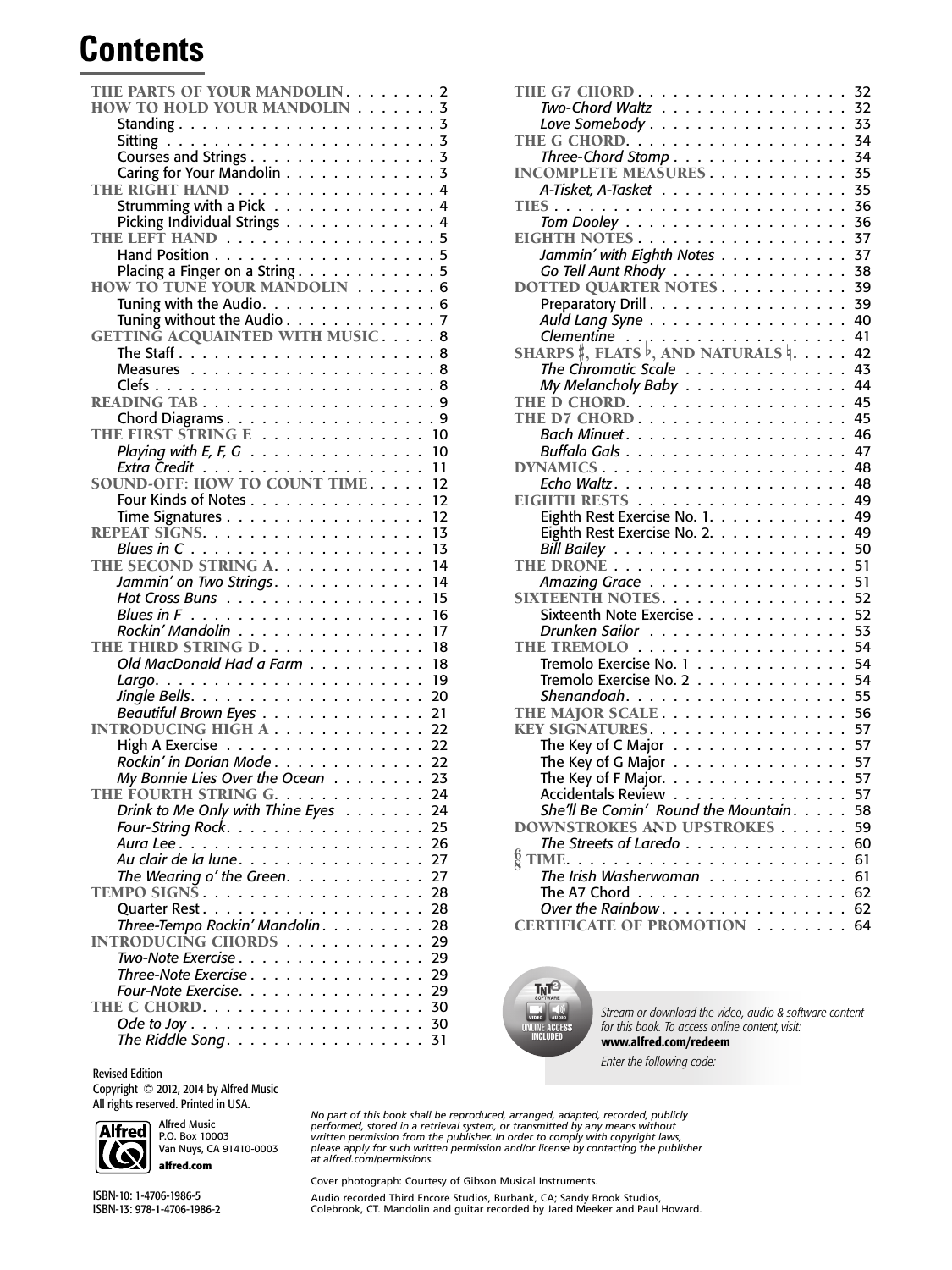## **Contents**

| THE PARTS OF YOUR MANDOLIN. 2                                        |
|----------------------------------------------------------------------|
| HOW TO HOLD YOUR MANDOLIN 3                                          |
|                                                                      |
|                                                                      |
|                                                                      |
| Caring for Your Mandolin 3                                           |
|                                                                      |
| THE RIGHT HAND 4<br>Strumming with a Pick 4                          |
|                                                                      |
|                                                                      |
|                                                                      |
|                                                                      |
| Placing a Finger on a String. 5                                      |
| HOW TO TUNE YOUR MANDOLIN  6                                         |
|                                                                      |
|                                                                      |
|                                                                      |
|                                                                      |
|                                                                      |
| $Cleft$ .                                                            |
|                                                                      |
|                                                                      |
|                                                                      |
| 10<br>Playing with E, F, G $\ldots \ldots \ldots \ldots \ldots$      |
|                                                                      |
| SOUND-OFF: HOW TO COUNT TIME 12                                      |
| Four Kinds of Notes<br>12                                            |
|                                                                      |
| Time Signatures<br>12                                                |
| 13                                                                   |
| Blues in $C$<br>13                                                   |
| THE SECOND STRING A.<br>14                                           |
| Jammin' on Two Strings.<br>14                                        |
| Hot Cross Buns<br>15                                                 |
| 16                                                                   |
| Rockin' Mandolin<br>17                                               |
| THE THIRD STRING D.<br>18                                            |
| Old MacDonald Had a Farm<br>18                                       |
| 19                                                                   |
| 20                                                                   |
| Beautiful Brown Eyes<br>Reautiful Brown Eyes<br>NTRODUCING HIGH A 22 |
|                                                                      |
|                                                                      |
| High A Exercise 22<br>Rockin' in Dorian Mode 22                      |
| My Bonnie Lies Over the Ocean<br>.23                                 |
| THE FOURTH STRING G. 24                                              |
|                                                                      |
| Drink to Me Only with Thine Eyes<br>24                               |
| Four-String Rock.<br>25                                              |
| 26                                                                   |
| Au clair de la lune.<br>27                                           |
| The Wearing o' the Green.<br>27                                      |
| TEMPO SIGNS<br>28                                                    |
| Quarter Rest.<br>28                                                  |
| Three-Tempo Rockin' Mandolin.<br>28                                  |
| INTRODUCING CHORDS<br>29                                             |
| Two-Note Exercise<br>29                                              |
| Three-Note Exercise<br>29                                            |
| Four-Note Exercise. 29                                               |
| THE C CHORD.<br>30                                                   |
| 30                                                                   |
| 31                                                                   |
|                                                                      |

| THE G7 CHORD                                               |  | 32 |
|------------------------------------------------------------|--|----|
| Two-Chord Waltz                                            |  | 32 |
| Love Somebody                                              |  | 33 |
|                                                            |  | 34 |
| Three-Chord Stomp                                          |  | 34 |
| INCOMPLETE MEASURES                                        |  | 35 |
| A-Tisket, A-Tasket                                         |  | 35 |
|                                                            |  | 36 |
|                                                            |  | 36 |
| EIGHTH NOTES                                               |  | 37 |
| Jammin' with Eighth Notes                                  |  | 37 |
| Co Tell Aunt Rhody<br>DOTTED QUARTER NOTES                 |  | 38 |
|                                                            |  | 39 |
| Preparatory Drill.                                         |  | 39 |
| Auld Lang Syne                                             |  | 40 |
| $\epsilon$ Clementine $\ldots \ldots \ldots \ldots \ldots$ |  | 41 |
| SHARPS $\sharp$ , FLATS $\flat$ , AND NATURALS $\dagger$   |  | 42 |
| The Chromatic Scale                                        |  | 43 |
| My Melancholy Baby                                         |  | 44 |
| THE D CHORD.                                               |  | 45 |
| THE D7 CHORD                                               |  | 45 |
| Bach Minuet.                                               |  | 46 |
|                                                            |  | 47 |
| DYNAMICS                                                   |  | 48 |
|                                                            |  | 48 |
|                                                            |  | 49 |
| Eighth Rest Exercise No. 1.                                |  | 49 |
| Eighth Rest Exercise No. 2.                                |  | 49 |
|                                                            |  | 50 |
|                                                            |  | 51 |
| Amazing Grace                                              |  | 51 |
| SIXTEENTH NOTES.                                           |  | 52 |
| Sixteenth Note Exercise                                    |  | 52 |
| Drunken Sailor 53                                          |  |    |
| <b>THE TREMOLO</b>                                         |  | 54 |
| .<br>Tremolo Exercise No. 1                                |  | 54 |
| Tremolo Exercise No. 2 54                                  |  |    |
|                                                            |  |    |
| Shenandoah. $\ldots$ . 55<br>THE MAJOR SCALE               |  | 56 |
|                                                            |  |    |
| KEY SIGNATURES. 57                                         |  |    |
| The Key of C Major $\ldots \ldots \ldots \ldots$           |  | 57 |
| The Key of G Major $\ldots$                                |  | 57 |
| The Key of F Major. $\ldots$ .                             |  | 57 |
| Accidentals Review<br>.                                    |  | 57 |
| She'll Be Comin' Round the Mountain                        |  | 58 |
| DOWNSTROKES AND UPSTROKES                                  |  | 59 |
| The Streets of Laredo                                      |  | 60 |
| 6<br>8<br>TIME.                                            |  | 61 |
| The Irish Washerwoman                                      |  | 61 |
| The A7 Chord $\ldots \ldots \ldots \ldots \ldots$          |  | 62 |
| Over the Rainbow.<br>.                                     |  | 62 |
| CERTIFICATE OF PROMOTION                                   |  | 64 |



*Stream or download the video, audio & software content for this book. To access online content, visit:* www.alfred.com/redeem

*Enter the following code:* 

#### Revised Edition

Copyright © 2012, 2014 by Alfred Music All rights reserved. Printed in USA.



Alfred Music P.O. Box 10003 Van Nuys, CA 91410-0003 **alfred.com**

No part of this book shall be reproduced, arranged, adapted, recorded, publicly<br>performed, stored in a retrieval system, or transmitted by any means without<br>written permission from the publisher. In order to comply with co

Cover photograph: Courtesy of Gibson Musical Instruments. Audio recorded Third Encore Studios, Burbank, CA; Sandy Brook Studios, Colebrook, CT. Mandolin and guitar recorded by Jared Meeker and Paul Howard.

ISBN-10: 1-4706-1986-5 ISBN-13: 978-1-4706-1986-2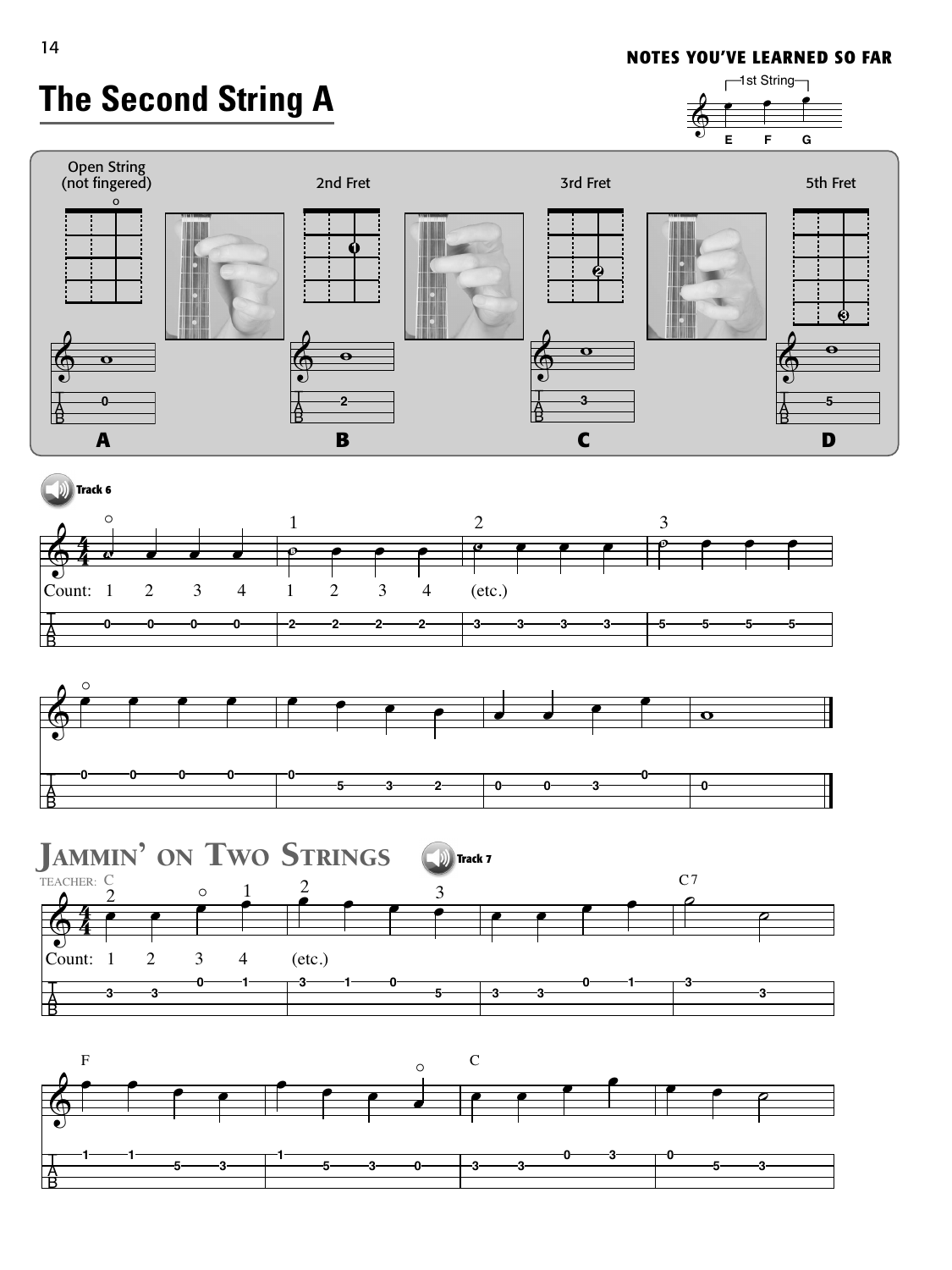#### **NOTES YOU'VE LEARNED SO FAR**

# **The Second String A**











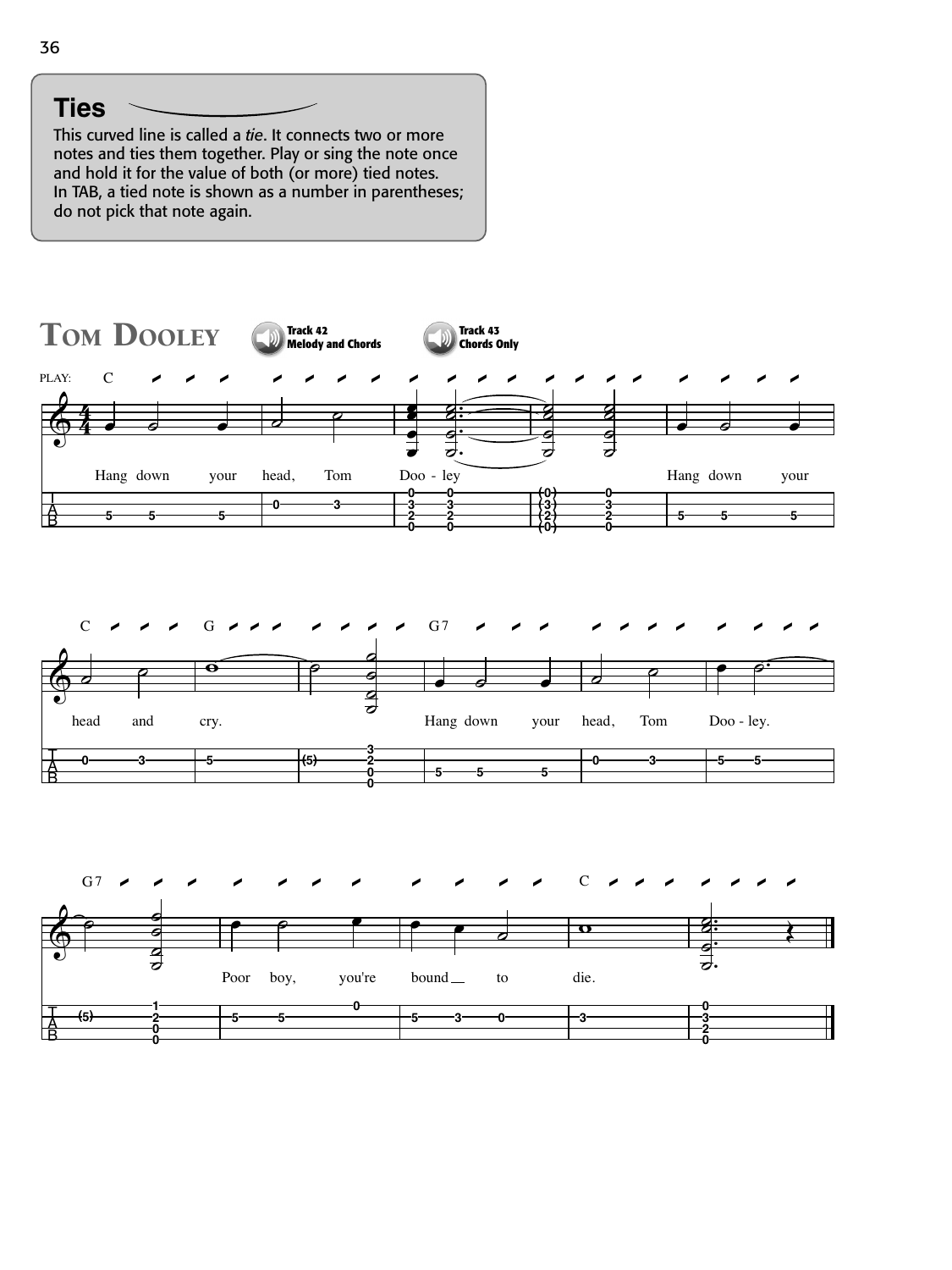### **Ties**

This curved line is called a *tie*. It connects two or more notes and ties them together. Play or sing the note once and hold it for the value of both (or more) tied notes. In TAB, a tied note is shown as a number in parentheses; do not pick that note again.